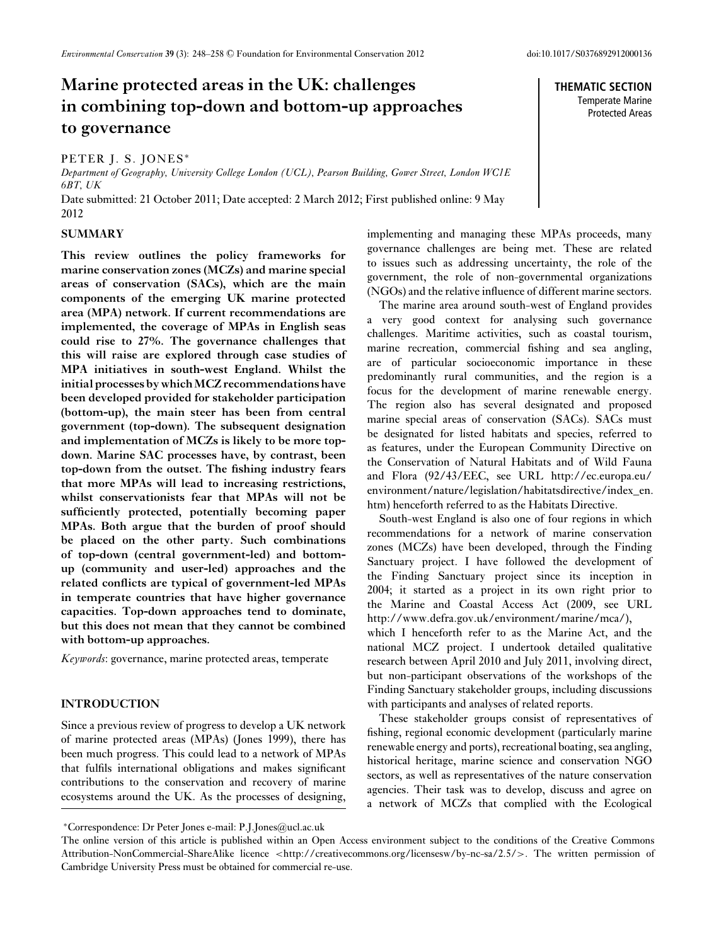**THEMATIC SECTION** Temperate Marine Protected Areas

# **Marine protected areas in the UK: challenges in combining top-down and bottom-up approaches to governance**

#### PETER J. S. JONES<sup>∗</sup>

*Department of Geography, University College London (UCL), Pearson Building, Gower Street, London WC1E 6BT, UK* Date submitted: 21 October 2011; Date accepted: 2 March 2012; First published online: 9 May

2012

## **SUMMARY**

**This review outlines the policy frameworks for marine conservation zones (MCZs) and marine special areas of conservation (SACs), which are the main components of the emerging UK marine protected area (MPA) network. If current recommendations are implemented, the coverage of MPAs in English seas could rise to 27%. The governance challenges that this will raise are explored through case studies of MPA initiatives in south-west England. Whilst the initial processes by whichMCZ recommendations have been developed provided for stakeholder participation (bottom-up), the main steer has been from central government (top-down). The subsequent designation and implementation of MCZs is likely to be more topdown. Marine SAC processes have, by contrast, been top-down from the outset. The fishing industry fears that more MPAs will lead to increasing restrictions, whilst conservationists fear that MPAs will not be sufficiently protected, potentially becoming paper MPAs. Both argue that the burden of proof should be placed on the other party. Such combinations of top-down (central government-led) and bottomup (community and user-led) approaches and the related conflicts are typical of government-led MPAs in temperate countries that have higher governance capacities. Top-down approaches tend to dominate, but this does not mean that they cannot be combined with bottom-up approaches.**

*Keywords*: governance, marine protected areas, temperate

# **INTRODUCTION**

Since a previous review of progress to develop a UK network of marine protected areas (MPAs) (Jones 1999), there has been much progress. This could lead to a network of MPAs that fulfils international obligations and makes significant contributions to the conservation and recovery of marine ecosystems around the UK. As the processes of designing, implementing and managing these MPAs proceeds, many governance challenges are being met. These are related to issues such as addressing uncertainty, the role of the government, the role of non-governmental organizations (NGOs) and the relative influence of different marine sectors.

The marine area around south-west of England provides a very good context for analysing such governance challenges. Maritime activities, such as coastal tourism, marine recreation, commercial fishing and sea angling, are of particular socioeconomic importance in these predominantly rural communities, and the region is a focus for the development of marine renewable energy. The region also has several designated and proposed marine special areas of conservation (SACs). SACs must be designated for listed habitats and species, referred to as features, under the European Community Directive on the Conservation of Natural Habitats and of Wild Fauna and Flora (92/43/EEC, see URL http://ec.europa.eu/ environment/nature/legislation/habitatsdirective/index\_en. htm) henceforth referred to as the Habitats Directive.

South-west England is also one of four regions in which recommendations for a network of marine conservation zones (MCZs) have been developed, through the Finding Sanctuary project. I have followed the development of the Finding Sanctuary project since its inception in 2004; it started as a project in its own right prior to the Marine and Coastal Access Act (2009, see URL http://www.defra.gov.uk/environment/marine/mca/), which I henceforth refer to as the Marine Act, and the national MCZ project. I undertook detailed qualitative research between April 2010 and July 2011, involving direct, but non-participant observations of the workshops of the Finding Sanctuary stakeholder groups, including discussions with participants and analyses of related reports.

These stakeholder groups consist of representatives of fishing, regional economic development (particularly marine renewable energy and ports), recreational boating, sea angling, historical heritage, marine science and conservation NGO sectors, as well as representatives of the nature conservation agencies. Their task was to develop, discuss and agree on a network of MCZs that complied with the Ecological

<sup>∗</sup>Correspondence: Dr Peter Jones e-mail: P.J.Jones@ucl.ac.uk

The online version of this article is published within an Open Access environment subject to the conditions of the Creative Commons Attribution-NonCommercial-ShareAlike licence <http://creativecommons.org/licensesw/by-nc-sa/2.5/>. The written permission of Cambridge University Press must be obtained for commercial re-use.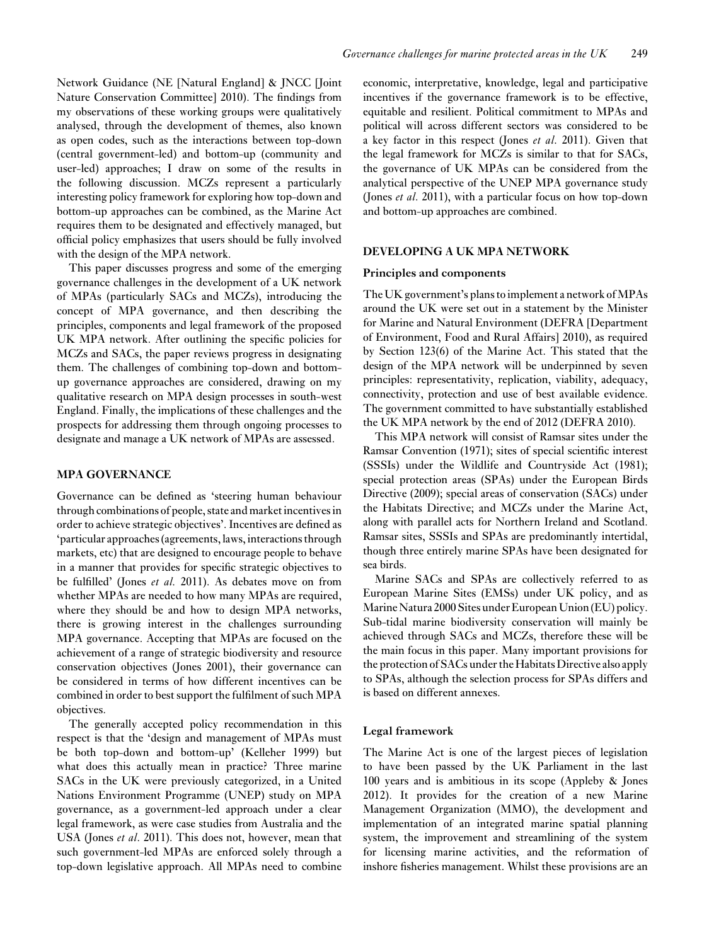Network Guidance (NE [Natural England] & JNCC [Joint Nature Conservation Committee] 2010). The findings from my observations of these working groups were qualitatively analysed, through the development of themes, also known as open codes, such as the interactions between top-down (central government-led) and bottom-up (community and user-led) approaches; I draw on some of the results in the following discussion. MCZs represent a particularly interesting policy framework for exploring how top-down and bottom-up approaches can be combined, as the Marine Act requires them to be designated and effectively managed, but official policy emphasizes that users should be fully involved with the design of the MPA network.

This paper discusses progress and some of the emerging governance challenges in the development of a UK network of MPAs (particularly SACs and MCZs), introducing the concept of MPA governance, and then describing the principles, components and legal framework of the proposed UK MPA network. After outlining the specific policies for MCZs and SACs, the paper reviews progress in designating them. The challenges of combining top-down and bottomup governance approaches are considered, drawing on my qualitative research on MPA design processes in south-west England. Finally, the implications of these challenges and the prospects for addressing them through ongoing processes to designate and manage a UK network of MPAs are assessed.

## **MPA GOVERNANCE**

Governance can be defined as 'steering human behaviour through combinations of people, state and market incentives in order to achieve strategic objectives'. Incentives are defined as 'particular approaches (agreements, laws, interactions through markets, etc) that are designed to encourage people to behave in a manner that provides for specific strategic objectives to be fulfilled' (Jones *et al.* 2011). As debates move on from whether MPAs are needed to how many MPAs are required, where they should be and how to design MPA networks, there is growing interest in the challenges surrounding MPA governance. Accepting that MPAs are focused on the achievement of a range of strategic biodiversity and resource conservation objectives (Jones 2001), their governance can be considered in terms of how different incentives can be combined in order to best support the fulfilment of such MPA objectives.

The generally accepted policy recommendation in this respect is that the 'design and management of MPAs must be both top-down and bottom-up' (Kelleher 1999) but what does this actually mean in practice? Three marine SACs in the UK were previously categorized, in a United Nations Environment Programme (UNEP) study on MPA governance, as a government-led approach under a clear legal framework, as were case studies from Australia and the USA (Jones *et al*. 2011). This does not, however, mean that such government-led MPAs are enforced solely through a top-down legislative approach. All MPAs need to combine

economic, interpretative, knowledge, legal and participative incentives if the governance framework is to be effective, equitable and resilient. Political commitment to MPAs and political will across different sectors was considered to be a key factor in this respect (Jones *et al*. 2011). Given that the legal framework for MCZs is similar to that for SACs, the governance of UK MPAs can be considered from the analytical perspective of the UNEP MPA governance study (Jones *et al*. 2011), with a particular focus on how top-down and bottom-up approaches are combined.

#### **DEVELOPING A UK MPA NETWORK**

#### **Principles and components**

The UK government's plans to implement a network of MPAs around the UK were set out in a statement by the Minister for Marine and Natural Environment (DEFRA [Department of Environment, Food and Rural Affairs] 2010), as required by Section 123(6) of the Marine Act. This stated that the design of the MPA network will be underpinned by seven principles: representativity, replication, viability, adequacy, connectivity, protection and use of best available evidence. The government committed to have substantially established the UK MPA network by the end of 2012 (DEFRA 2010).

This MPA network will consist of Ramsar sites under the Ramsar Convention (1971); sites of special scientific interest (SSSIs) under the Wildlife and Countryside Act (1981); special protection areas (SPAs) under the European Birds Directive (2009); special areas of conservation (SACs) under the Habitats Directive; and MCZs under the Marine Act, along with parallel acts for Northern Ireland and Scotland. Ramsar sites, SSSIs and SPAs are predominantly intertidal, though three entirely marine SPAs have been designated for sea birds.

Marine SACs and SPAs are collectively referred to as European Marine Sites (EMSs) under UK policy, and as Marine Natura 2000 Sites under European Union (EU) policy. Sub-tidal marine biodiversity conservation will mainly be achieved through SACs and MCZs, therefore these will be the main focus in this paper. Many important provisions for the protection of SACs under the Habitats Directive also apply to SPAs, although the selection process for SPAs differs and is based on different annexes.

#### **Legal framework**

The Marine Act is one of the largest pieces of legislation to have been passed by the UK Parliament in the last 100 years and is ambitious in its scope (Appleby & Jones 2012). It provides for the creation of a new Marine Management Organization (MMO), the development and implementation of an integrated marine spatial planning system, the improvement and streamlining of the system for licensing marine activities, and the reformation of inshore fisheries management. Whilst these provisions are an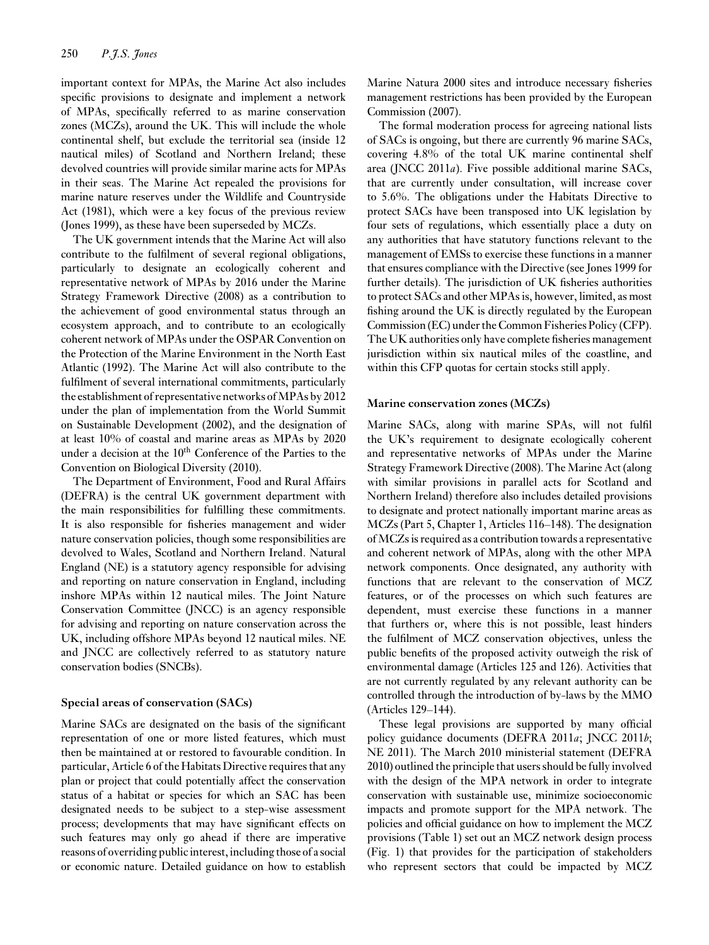important context for MPAs, the Marine Act also includes specific provisions to designate and implement a network of MPAs, specifically referred to as marine conservation zones (MCZs), around the UK. This will include the whole continental shelf, but exclude the territorial sea (inside 12 nautical miles) of Scotland and Northern Ireland; these devolved countries will provide similar marine acts for MPAs in their seas. The Marine Act repealed the provisions for marine nature reserves under the Wildlife and Countryside Act (1981), which were a key focus of the previous review (Jones 1999), as these have been superseded by MCZs.

The UK government intends that the Marine Act will also contribute to the fulfilment of several regional obligations, particularly to designate an ecologically coherent and representative network of MPAs by 2016 under the Marine Strategy Framework Directive (2008) as a contribution to the achievement of good environmental status through an ecosystem approach, and to contribute to an ecologically coherent network of MPAs under the OSPAR Convention on the Protection of the Marine Environment in the North East Atlantic (1992). The Marine Act will also contribute to the fulfilment of several international commitments, particularly the establishment of representative networks of MPAs by 2012 under the plan of implementation from the World Summit on Sustainable Development (2002), and the designation of at least 10% of coastal and marine areas as MPAs by 2020 under a decision at the  $10<sup>th</sup>$  Conference of the Parties to the Convention on Biological Diversity (2010).

The Department of Environment, Food and Rural Affairs (DEFRA) is the central UK government department with the main responsibilities for fulfilling these commitments. It is also responsible for fisheries management and wider nature conservation policies, though some responsibilities are devolved to Wales, Scotland and Northern Ireland. Natural England (NE) is a statutory agency responsible for advising and reporting on nature conservation in England, including inshore MPAs within 12 nautical miles. The Joint Nature Conservation Committee (JNCC) is an agency responsible for advising and reporting on nature conservation across the UK, including offshore MPAs beyond 12 nautical miles. NE and JNCC are collectively referred to as statutory nature conservation bodies (SNCBs).

#### **Special areas of conservation (SACs)**

Marine SACs are designated on the basis of the significant representation of one or more listed features, which must then be maintained at or restored to favourable condition. In particular, Article 6 of the Habitats Directive requires that any plan or project that could potentially affect the conservation status of a habitat or species for which an SAC has been designated needs to be subject to a step-wise assessment process; developments that may have significant effects on such features may only go ahead if there are imperative reasons of overriding public interest, including those of a social or economic nature. Detailed guidance on how to establish Marine Natura 2000 sites and introduce necessary fisheries management restrictions has been provided by the European Commission (2007).

The formal moderation process for agreeing national lists of SACs is ongoing, but there are currently 96 marine SACs, covering 4.8% of the total UK marine continental shelf area (JNCC 2011*a*). Five possible additional marine SACs, that are currently under consultation, will increase cover to 5.6%. The obligations under the Habitats Directive to protect SACs have been transposed into UK legislation by four sets of regulations, which essentially place a duty on any authorities that have statutory functions relevant to the management of EMSs to exercise these functions in a manner that ensures compliance with the Directive (see Jones 1999 for further details). The jurisdiction of UK fisheries authorities to protect SACs and other MPAs is, however, limited, as most fishing around the UK is directly regulated by the European Commission (EC) under the Common Fisheries Policy (CFP). The UK authorities only have complete fisheries management jurisdiction within six nautical miles of the coastline, and within this CFP quotas for certain stocks still apply.

#### **Marine conservation zones (MCZs)**

Marine SACs, along with marine SPAs, will not fulfil the UK's requirement to designate ecologically coherent and representative networks of MPAs under the Marine Strategy Framework Directive (2008). The Marine Act (along with similar provisions in parallel acts for Scotland and Northern Ireland) therefore also includes detailed provisions to designate and protect nationally important marine areas as MCZs (Part 5, Chapter 1, Articles 116–148). The designation of MCZs is required as a contribution towards a representative and coherent network of MPAs, along with the other MPA network components. Once designated, any authority with functions that are relevant to the conservation of MCZ features, or of the processes on which such features are dependent, must exercise these functions in a manner that furthers or, where this is not possible, least hinders the fulfilment of MCZ conservation objectives, unless the public benefits of the proposed activity outweigh the risk of environmental damage (Articles 125 and 126). Activities that are not currently regulated by any relevant authority can be controlled through the introduction of by-laws by the MMO (Articles 129–144).

These legal provisions are supported by many official policy guidance documents (DEFRA 2011*a*; JNCC 2011*b*; NE 2011). The March 2010 ministerial statement (DEFRA 2010) outlined the principle that users should be fully involved with the design of the MPA network in order to integrate conservation with sustainable use, minimize socioeconomic impacts and promote support for the MPA network. The policies and official guidance on how to implement the MCZ provisions (Table 1) set out an MCZ network design process (Fig. 1) that provides for the participation of stakeholders who represent sectors that could be impacted by MCZ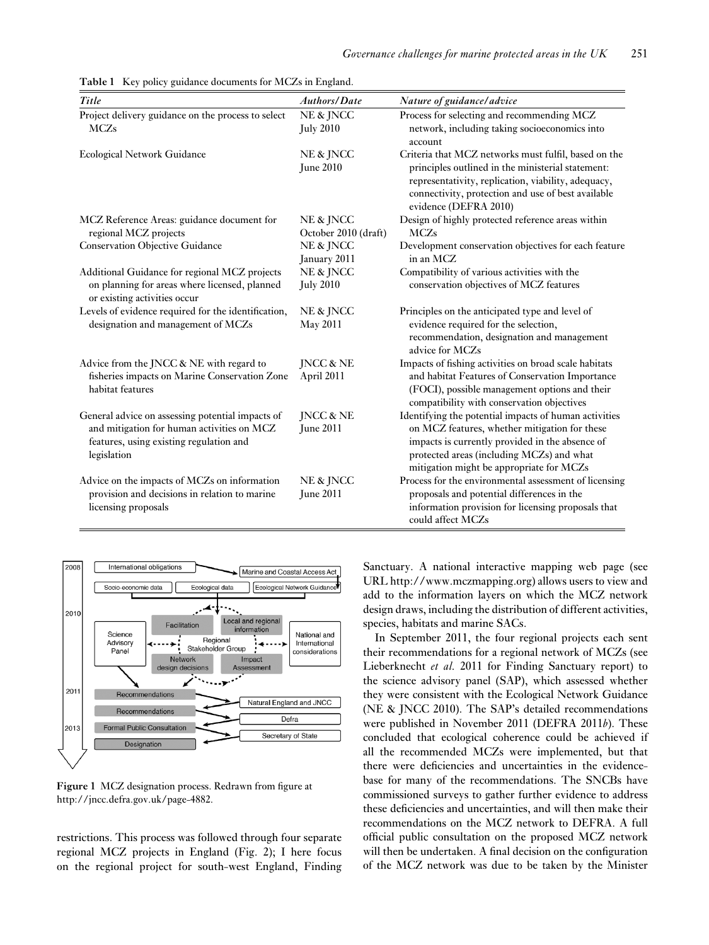| Title                                                                                                                                                    | <b>Authors/Date</b>               | Nature of guidance/advice                                                                                                                                                                                                                          |
|----------------------------------------------------------------------------------------------------------------------------------------------------------|-----------------------------------|----------------------------------------------------------------------------------------------------------------------------------------------------------------------------------------------------------------------------------------------------|
| Project delivery guidance on the process to select<br><b>MCZs</b>                                                                                        | NE & JNCC<br><b>July 2010</b>     | Process for selecting and recommending MCZ<br>network, including taking socioeconomics into<br>account                                                                                                                                             |
| <b>Ecological Network Guidance</b>                                                                                                                       | NE & JNCC<br><b>June 2010</b>     | Criteria that MCZ networks must fulfil, based on the<br>principles outlined in the ministerial statement:<br>representativity, replication, viability, adequacy,<br>connectivity, protection and use of best available<br>evidence (DEFRA 2010)    |
| MCZ Reference Areas: guidance document for<br>regional MCZ projects                                                                                      | NE & JNCC<br>October 2010 (draft) | Design of highly protected reference areas within<br><b>MCZs</b>                                                                                                                                                                                   |
| <b>Conservation Objective Guidance</b>                                                                                                                   | NE & JNCC<br>January 2011         | Development conservation objectives for each feature<br>in an MCZ                                                                                                                                                                                  |
| Additional Guidance for regional MCZ projects<br>on planning for areas where licensed, planned<br>or existing activities occur                           | NE & JNCC<br><b>July 2010</b>     | Compatibility of various activities with the<br>conservation objectives of MCZ features                                                                                                                                                            |
| Levels of evidence required for the identification,<br>designation and management of MCZs                                                                | NE & JNCC<br>May 2011             | Principles on the anticipated type and level of<br>evidence required for the selection,<br>recommendation, designation and management<br>advice for MCZs                                                                                           |
| Advice from the JNCC & NE with regard to<br>fisheries impacts on Marine Conservation Zone<br>habitat features                                            | JNCC & NE<br>April 2011           | Impacts of fishing activities on broad scale habitats<br>and habitat Features of Conservation Importance<br>(FOCI), possible management options and their<br>compatibility with conservation objectives                                            |
| General advice on assessing potential impacts of<br>and mitigation for human activities on MCZ<br>features, using existing regulation and<br>legislation | JNCC & NE<br><b>June 2011</b>     | Identifying the potential impacts of human activities<br>on MCZ features, whether mitigation for these<br>impacts is currently provided in the absence of<br>protected areas (including MCZs) and what<br>mitigation might be appropriate for MCZs |
| Advice on the impacts of MCZs on information<br>provision and decisions in relation to marine<br>licensing proposals                                     | NE & JNCC<br><b>June 2011</b>     | Process for the environmental assessment of licensing<br>proposals and potential differences in the<br>information provision for licensing proposals that<br>could affect MCZs                                                                     |

**Table 1** Key policy guidance documents for MCZs in England.



**Figure 1** MCZ designation process. Redrawn from figure at http://jncc.defra.gov.uk/page-4882.

restrictions. This process was followed through four separate regional MCZ projects in England (Fig. 2); I here focus on the regional project for south-west England, Finding

Sanctuary. A national interactive mapping web page (see URL http://www.mczmapping.org) allows users to view and add to the information layers on which the MCZ network design draws, including the distribution of different activities, species, habitats and marine SACs.

In September 2011, the four regional projects each sent their recommendations for a regional network of MCZs (see Lieberknecht *et al.* 2011 for Finding Sanctuary report) to the science advisory panel (SAP), which assessed whether they were consistent with the Ecological Network Guidance (NE & JNCC 2010). The SAP's detailed recommendations were published in November 2011 (DEFRA 2011*b*). These concluded that ecological coherence could be achieved if all the recommended MCZs were implemented, but that there were deficiencies and uncertainties in the evidencebase for many of the recommendations. The SNCBs have commissioned surveys to gather further evidence to address these deficiencies and uncertainties, and will then make their recommendations on the MCZ network to DEFRA. A full official public consultation on the proposed MCZ network will then be undertaken. A final decision on the configuration of the MCZ network was due to be taken by the Minister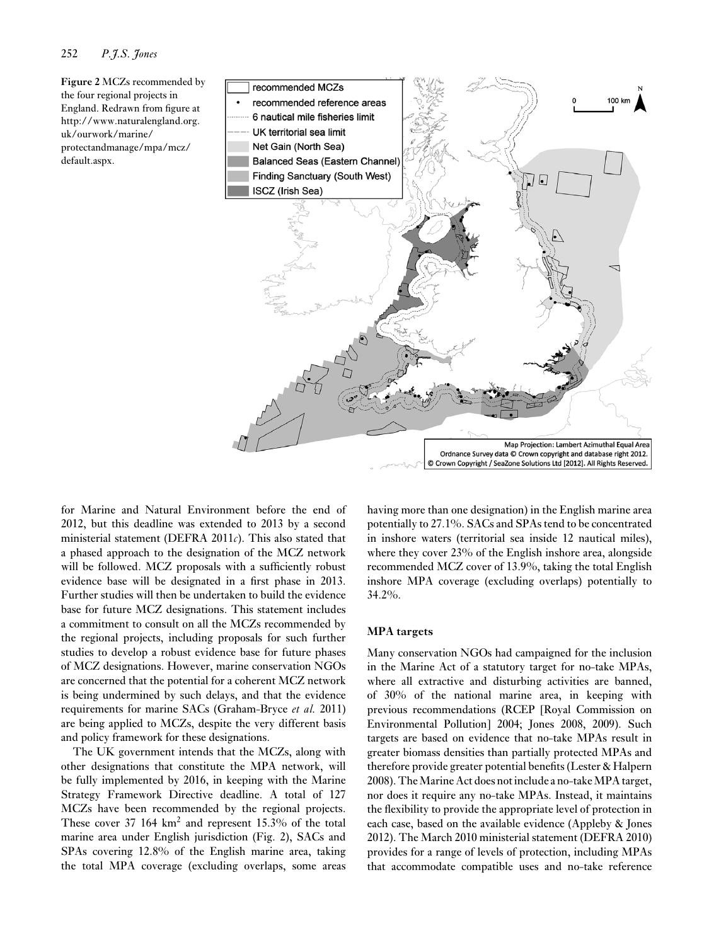**Figure 2** MCZs recommended by the four regional projects in England. Redrawn from figure at http://www.naturalengland.org. uk/ourwork/marine/ protectandmanage/mpa/mcz/ default.aspx.



for Marine and Natural Environment before the end of 2012, but this deadline was extended to 2013 by a second ministerial statement (DEFRA 2011*c*). This also stated that a phased approach to the designation of the MCZ network will be followed. MCZ proposals with a sufficiently robust evidence base will be designated in a first phase in 2013. Further studies will then be undertaken to build the evidence base for future MCZ designations. This statement includes a commitment to consult on all the MCZs recommended by the regional projects, including proposals for such further studies to develop a robust evidence base for future phases of MCZ designations. However, marine conservation NGOs are concerned that the potential for a coherent MCZ network is being undermined by such delays, and that the evidence requirements for marine SACs (Graham-Bryce *et al.* 2011) are being applied to MCZs, despite the very different basis and policy framework for these designations.

The UK government intends that the MCZs, along with other designations that constitute the MPA network, will be fully implemented by 2016, in keeping with the Marine Strategy Framework Directive deadline. A total of 127 MCZs have been recommended by the regional projects. These cover 37  $164 \text{ km}^2$  and represent 15.3% of the total marine area under English jurisdiction (Fig. 2), SACs and SPAs covering 12.8% of the English marine area, taking the total MPA coverage (excluding overlaps, some areas having more than one designation) in the English marine area potentially to 27.1%. SACs and SPAs tend to be concentrated in inshore waters (territorial sea inside 12 nautical miles), where they cover 23% of the English inshore area, alongside recommended MCZ cover of 13.9%, taking the total English inshore MPA coverage (excluding overlaps) potentially to 34.2%.

#### **MPA targets**

Many conservation NGOs had campaigned for the inclusion in the Marine Act of a statutory target for no-take MPAs, where all extractive and disturbing activities are banned, of 30% of the national marine area, in keeping with previous recommendations (RCEP [Royal Commission on Environmental Pollution] 2004; Jones 2008, 2009). Such targets are based on evidence that no-take MPAs result in greater biomass densities than partially protected MPAs and therefore provide greater potential benefits (Lester & Halpern 2008). The Marine Act does not include a no-take MPA target, nor does it require any no-take MPAs. Instead, it maintains the flexibility to provide the appropriate level of protection in each case, based on the available evidence (Appleby & Jones 2012). The March 2010 ministerial statement (DEFRA 2010) provides for a range of levels of protection, including MPAs that accommodate compatible uses and no-take reference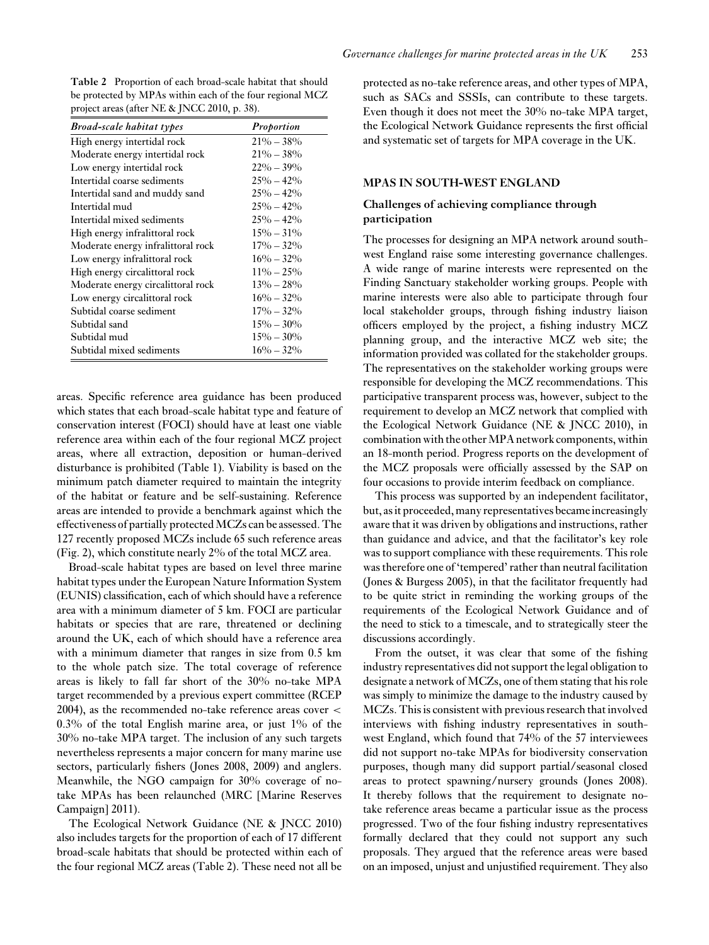**Table 2** Proportion of each broad-scale habitat that should be protected by MPAs within each of the four regional MCZ project areas (after NE & JNCC 2010, p. 38).

| <b>Broad-scale habitat types</b>   | Proportion    |
|------------------------------------|---------------|
| High energy intertidal rock        | $21\% - 38\%$ |
| Moderate energy intertidal rock    | $21\% - 38\%$ |
| Low energy intertidal rock         | $22\% - 39\%$ |
| Intertidal coarse sediments        | $25\% - 42\%$ |
| Intertidal sand and muddy sand     | $25\% - 42\%$ |
| Intertidal mud                     | $25\% - 42\%$ |
| Intertidal mixed sediments         | $25\% - 42\%$ |
| High energy infralittoral rock     | $15\% - 31\%$ |
| Moderate energy infralittoral rock | $17\% - 32\%$ |
| Low energy infralittoral rock      | $16\% - 32\%$ |
| High energy circalittoral rock     | $11\% - 25\%$ |
| Moderate energy circalittoral rock | $13\% - 28\%$ |
| Low energy circalittoral rock      | $16\% - 32\%$ |
| Subtidal coarse sediment           | $17\% - 32\%$ |
| Subtidal sand                      | $15\% - 30\%$ |
| Subtidal mud                       | $15\% - 30\%$ |
| Subtidal mixed sediments           | $16\% - 32\%$ |

areas. Specific reference area guidance has been produced which states that each broad-scale habitat type and feature of conservation interest (FOCI) should have at least one viable reference area within each of the four regional MCZ project areas, where all extraction, deposition or human-derived disturbance is prohibited (Table 1). Viability is based on the minimum patch diameter required to maintain the integrity of the habitat or feature and be self-sustaining. Reference areas are intended to provide a benchmark against which the effectiveness of partially protected MCZs can be assessed. The 127 recently proposed MCZs include 65 such reference areas (Fig. 2), which constitute nearly 2% of the total MCZ area.

Broad-scale habitat types are based on level three marine habitat types under the European Nature Information System (EUNIS) classification, each of which should have a reference area with a minimum diameter of 5 km. FOCI are particular habitats or species that are rare, threatened or declining around the UK, each of which should have a reference area with a minimum diameter that ranges in size from 0.5 km to the whole patch size. The total coverage of reference areas is likely to fall far short of the 30% no-take MPA target recommended by a previous expert committee (RCEP 2004), as the recommended no-take reference areas cover < 0.3% of the total English marine area, or just 1% of the 30% no-take MPA target. The inclusion of any such targets nevertheless represents a major concern for many marine use sectors, particularly fishers (Jones 2008, 2009) and anglers. Meanwhile, the NGO campaign for 30% coverage of notake MPAs has been relaunched (MRC [Marine Reserves Campaign] 2011).

The Ecological Network Guidance (NE & JNCC 2010) also includes targets for the proportion of each of 17 different broad-scale habitats that should be protected within each of the four regional MCZ areas (Table 2). These need not all be

protected as no-take reference areas, and other types of MPA, such as SACs and SSSIs, can contribute to these targets. Even though it does not meet the 30% no-take MPA target, the Ecological Network Guidance represents the first official and systematic set of targets for MPA coverage in the UK.

#### **MPAS IN SOUTH-WEST ENGLAND**

## **Challenges of achieving compliance through participation**

The processes for designing an MPA network around southwest England raise some interesting governance challenges. A wide range of marine interests were represented on the Finding Sanctuary stakeholder working groups. People with marine interests were also able to participate through four local stakeholder groups, through fishing industry liaison officers employed by the project, a fishing industry MCZ planning group, and the interactive MCZ web site; the information provided was collated for the stakeholder groups. The representatives on the stakeholder working groups were responsible for developing the MCZ recommendations. This participative transparent process was, however, subject to the requirement to develop an MCZ network that complied with the Ecological Network Guidance (NE & JNCC 2010), in combination with the other MPA network components, within an 18-month period. Progress reports on the development of the MCZ proposals were officially assessed by the SAP on four occasions to provide interim feedback on compliance.

This process was supported by an independent facilitator, but, as it proceeded, many representatives became increasingly aware that it was driven by obligations and instructions, rather than guidance and advice, and that the facilitator's key role was to support compliance with these requirements. This role was therefore one of 'tempered' rather than neutral facilitation (Jones & Burgess 2005), in that the facilitator frequently had to be quite strict in reminding the working groups of the requirements of the Ecological Network Guidance and of the need to stick to a timescale, and to strategically steer the discussions accordingly.

From the outset, it was clear that some of the fishing industry representatives did not support the legal obligation to designate a network of MCZs, one of them stating that his role was simply to minimize the damage to the industry caused by MCZs. This is consistent with previous research that involved interviews with fishing industry representatives in southwest England, which found that 74% of the 57 interviewees did not support no-take MPAs for biodiversity conservation purposes, though many did support partial/seasonal closed areas to protect spawning/nursery grounds (Jones 2008). It thereby follows that the requirement to designate notake reference areas became a particular issue as the process progressed. Two of the four fishing industry representatives formally declared that they could not support any such proposals. They argued that the reference areas were based on an imposed, unjust and unjustified requirement. They also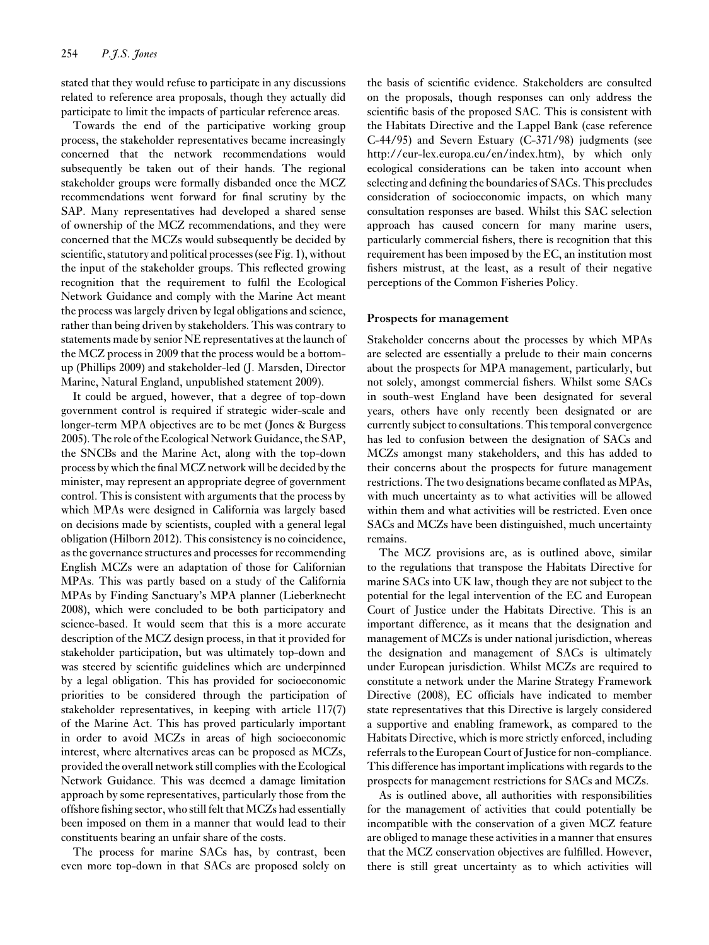stated that they would refuse to participate in any discussions related to reference area proposals, though they actually did participate to limit the impacts of particular reference areas.

Towards the end of the participative working group process, the stakeholder representatives became increasingly concerned that the network recommendations would subsequently be taken out of their hands. The regional stakeholder groups were formally disbanded once the MCZ recommendations went forward for final scrutiny by the SAP. Many representatives had developed a shared sense of ownership of the MCZ recommendations, and they were concerned that the MCZs would subsequently be decided by scientific, statutory and political processes (see Fig. 1), without the input of the stakeholder groups. This reflected growing recognition that the requirement to fulfil the Ecological Network Guidance and comply with the Marine Act meant the process was largely driven by legal obligations and science, rather than being driven by stakeholders. This was contrary to statements made by senior NE representatives at the launch of the MCZ process in 2009 that the process would be a bottomup (Phillips 2009) and stakeholder-led (J. Marsden, Director Marine, Natural England, unpublished statement 2009).

It could be argued, however, that a degree of top-down government control is required if strategic wider-scale and longer-term MPA objectives are to be met (Jones & Burgess 2005). The role of the Ecological Network Guidance, the SAP, the SNCBs and the Marine Act, along with the top-down process by which the final MCZ network will be decided by the minister, may represent an appropriate degree of government control. This is consistent with arguments that the process by which MPAs were designed in California was largely based on decisions made by scientists, coupled with a general legal obligation (Hilborn 2012). This consistency is no coincidence, as the governance structures and processes for recommending English MCZs were an adaptation of those for Californian MPAs. This was partly based on a study of the California MPAs by Finding Sanctuary's MPA planner (Lieberknecht 2008), which were concluded to be both participatory and science-based. It would seem that this is a more accurate description of the MCZ design process, in that it provided for stakeholder participation, but was ultimately top-down and was steered by scientific guidelines which are underpinned by a legal obligation. This has provided for socioeconomic priorities to be considered through the participation of stakeholder representatives, in keeping with article 117(7) of the Marine Act. This has proved particularly important in order to avoid MCZs in areas of high socioeconomic interest, where alternatives areas can be proposed as MCZs, provided the overall network still complies with the Ecological Network Guidance. This was deemed a damage limitation approach by some representatives, particularly those from the offshore fishing sector, who still felt that MCZs had essentially been imposed on them in a manner that would lead to their constituents bearing an unfair share of the costs.

The process for marine SACs has, by contrast, been even more top-down in that SACs are proposed solely on the basis of scientific evidence. Stakeholders are consulted on the proposals, though responses can only address the scientific basis of the proposed SAC. This is consistent with the Habitats Directive and the Lappel Bank (case reference C-44/95) and Severn Estuary (C-371/98) judgments (see http://eur-lex.europa.eu/en/index.htm), by which only ecological considerations can be taken into account when selecting and defining the boundaries of SACs. This precludes consideration of socioeconomic impacts, on which many consultation responses are based. Whilst this SAC selection approach has caused concern for many marine users, particularly commercial fishers, there is recognition that this requirement has been imposed by the EC, an institution most fishers mistrust, at the least, as a result of their negative perceptions of the Common Fisheries Policy.

#### **Prospects for management**

Stakeholder concerns about the processes by which MPAs are selected are essentially a prelude to their main concerns about the prospects for MPA management, particularly, but not solely, amongst commercial fishers. Whilst some SACs in south-west England have been designated for several years, others have only recently been designated or are currently subject to consultations. This temporal convergence has led to confusion between the designation of SACs and MCZs amongst many stakeholders, and this has added to their concerns about the prospects for future management restrictions. The two designations became conflated as MPAs, with much uncertainty as to what activities will be allowed within them and what activities will be restricted. Even once SACs and MCZs have been distinguished, much uncertainty remains.

The MCZ provisions are, as is outlined above, similar to the regulations that transpose the Habitats Directive for marine SACs into UK law, though they are not subject to the potential for the legal intervention of the EC and European Court of Justice under the Habitats Directive. This is an important difference, as it means that the designation and management of MCZs is under national jurisdiction, whereas the designation and management of SACs is ultimately under European jurisdiction. Whilst MCZs are required to constitute a network under the Marine Strategy Framework Directive (2008), EC officials have indicated to member state representatives that this Directive is largely considered a supportive and enabling framework, as compared to the Habitats Directive, which is more strictly enforced, including referrals to the European Court of Justice for non-compliance. This difference has important implications with regards to the prospects for management restrictions for SACs and MCZs.

As is outlined above, all authorities with responsibilities for the management of activities that could potentially be incompatible with the conservation of a given MCZ feature are obliged to manage these activities in a manner that ensures that the MCZ conservation objectives are fulfilled. However, there is still great uncertainty as to which activities will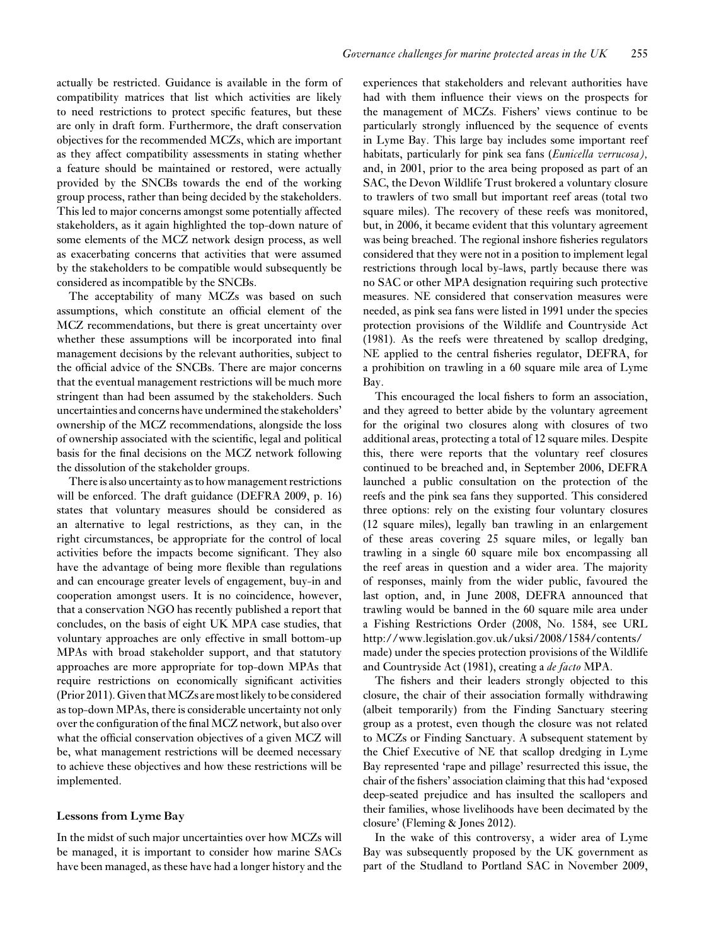actually be restricted. Guidance is available in the form of compatibility matrices that list which activities are likely to need restrictions to protect specific features, but these are only in draft form. Furthermore, the draft conservation objectives for the recommended MCZs, which are important as they affect compatibility assessments in stating whether a feature should be maintained or restored, were actually provided by the SNCBs towards the end of the working group process, rather than being decided by the stakeholders. This led to major concerns amongst some potentially affected stakeholders, as it again highlighted the top-down nature of some elements of the MCZ network design process, as well as exacerbating concerns that activities that were assumed by the stakeholders to be compatible would subsequently be considered as incompatible by the SNCBs.

The acceptability of many MCZs was based on such assumptions, which constitute an official element of the MCZ recommendations, but there is great uncertainty over whether these assumptions will be incorporated into final management decisions by the relevant authorities, subject to the official advice of the SNCBs. There are major concerns that the eventual management restrictions will be much more stringent than had been assumed by the stakeholders. Such uncertainties and concerns have undermined the stakeholders' ownership of the MCZ recommendations, alongside the loss of ownership associated with the scientific, legal and political basis for the final decisions on the MCZ network following the dissolution of the stakeholder groups.

There is also uncertainty as to how management restrictions will be enforced. The draft guidance (DEFRA 2009, p. 16) states that voluntary measures should be considered as an alternative to legal restrictions, as they can, in the right circumstances, be appropriate for the control of local activities before the impacts become significant. They also have the advantage of being more flexible than regulations and can encourage greater levels of engagement, buy-in and cooperation amongst users. It is no coincidence, however, that a conservation NGO has recently published a report that concludes, on the basis of eight UK MPA case studies, that voluntary approaches are only effective in small bottom-up MPAs with broad stakeholder support, and that statutory approaches are more appropriate for top-down MPAs that require restrictions on economically significant activities (Prior 2011). Given that MCZs are most likely to be considered as top-down MPAs, there is considerable uncertainty not only over the configuration of the final MCZ network, but also over what the official conservation objectives of a given MCZ will be, what management restrictions will be deemed necessary to achieve these objectives and how these restrictions will be implemented.

#### **Lessons from Lyme Bay**

In the midst of such major uncertainties over how MCZs will be managed, it is important to consider how marine SACs have been managed, as these have had a longer history and the

experiences that stakeholders and relevant authorities have had with them influence their views on the prospects for the management of MCZs. Fishers' views continue to be particularly strongly influenced by the sequence of events in Lyme Bay. This large bay includes some important reef habitats, particularly for pink sea fans (*Eunicella verrucosa),* and, in 2001, prior to the area being proposed as part of an SAC, the Devon Wildlife Trust brokered a voluntary closure to trawlers of two small but important reef areas (total two square miles). The recovery of these reefs was monitored, but, in 2006, it became evident that this voluntary agreement was being breached. The regional inshore fisheries regulators considered that they were not in a position to implement legal restrictions through local by-laws, partly because there was no SAC or other MPA designation requiring such protective measures. NE considered that conservation measures were needed, as pink sea fans were listed in 1991 under the species protection provisions of the Wildlife and Countryside Act (1981). As the reefs were threatened by scallop dredging, NE applied to the central fisheries regulator, DEFRA, for a prohibition on trawling in a 60 square mile area of Lyme Bay.

This encouraged the local fishers to form an association, and they agreed to better abide by the voluntary agreement for the original two closures along with closures of two additional areas, protecting a total of 12 square miles. Despite this, there were reports that the voluntary reef closures continued to be breached and, in September 2006, DEFRA launched a public consultation on the protection of the reefs and the pink sea fans they supported. This considered three options: rely on the existing four voluntary closures (12 square miles), legally ban trawling in an enlargement of these areas covering 25 square miles, or legally ban trawling in a single 60 square mile box encompassing all the reef areas in question and a wider area. The majority of responses, mainly from the wider public, favoured the last option, and, in June 2008, DEFRA announced that trawling would be banned in the 60 square mile area under a Fishing Restrictions Order (2008, No. 1584, see URL http://www.legislation.gov.uk/uksi/2008/1584/contents/ made) under the species protection provisions of the Wildlife and Countryside Act (1981), creating a *de facto* MPA.

The fishers and their leaders strongly objected to this closure, the chair of their association formally withdrawing (albeit temporarily) from the Finding Sanctuary steering group as a protest, even though the closure was not related to MCZs or Finding Sanctuary. A subsequent statement by the Chief Executive of NE that scallop dredging in Lyme Bay represented 'rape and pillage' resurrected this issue, the chair of the fishers' association claiming that this had 'exposed deep-seated prejudice and has insulted the scallopers and their families, whose livelihoods have been decimated by the closure' (Fleming & Jones 2012).

In the wake of this controversy, a wider area of Lyme Bay was subsequently proposed by the UK government as part of the Studland to Portland SAC in November 2009,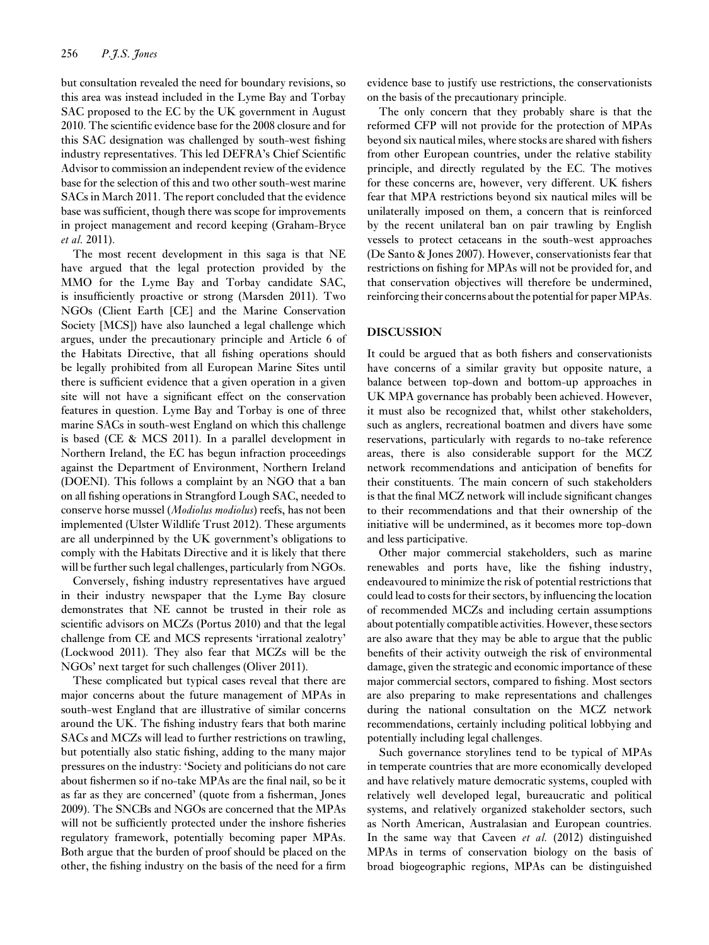but consultation revealed the need for boundary revisions, so this area was instead included in the Lyme Bay and Torbay SAC proposed to the EC by the UK government in August 2010. The scientific evidence base for the 2008 closure and for this SAC designation was challenged by south-west fishing industry representatives. This led DEFRA's Chief Scientific Advisor to commission an independent review of the evidence base for the selection of this and two other south-west marine SACs in March 2011. The report concluded that the evidence base was sufficient, though there was scope for improvements in project management and record keeping (Graham-Bryce *et al.* 2011).

The most recent development in this saga is that NE have argued that the legal protection provided by the MMO for the Lyme Bay and Torbay candidate SAC, is insufficiently proactive or strong (Marsden 2011). Two NGOs (Client Earth [CE] and the Marine Conservation Society [MCS]) have also launched a legal challenge which argues, under the precautionary principle and Article 6 of the Habitats Directive, that all fishing operations should be legally prohibited from all European Marine Sites until there is sufficient evidence that a given operation in a given site will not have a significant effect on the conservation features in question. Lyme Bay and Torbay is one of three marine SACs in south-west England on which this challenge is based (CE & MCS 2011). In a parallel development in Northern Ireland, the EC has begun infraction proceedings against the Department of Environment, Northern Ireland (DOENI). This follows a complaint by an NGO that a ban on all fishing operations in Strangford Lough SAC, needed to conserve horse mussel (*Modiolus modiolus*) reefs, has not been implemented (Ulster Wildlife Trust 2012). These arguments are all underpinned by the UK government's obligations to comply with the Habitats Directive and it is likely that there will be further such legal challenges, particularly from NGOs.

Conversely, fishing industry representatives have argued in their industry newspaper that the Lyme Bay closure demonstrates that NE cannot be trusted in their role as scientific advisors on MCZs (Portus 2010) and that the legal challenge from CE and MCS represents 'irrational zealotry' (Lockwood 2011). They also fear that MCZs will be the NGOs' next target for such challenges (Oliver 2011).

These complicated but typical cases reveal that there are major concerns about the future management of MPAs in south-west England that are illustrative of similar concerns around the UK. The fishing industry fears that both marine SACs and MCZs will lead to further restrictions on trawling, but potentially also static fishing, adding to the many major pressures on the industry: 'Society and politicians do not care about fishermen so if no-take MPAs are the final nail, so be it as far as they are concerned' (quote from a fisherman, Jones 2009). The SNCBs and NGOs are concerned that the MPAs will not be sufficiently protected under the inshore fisheries regulatory framework, potentially becoming paper MPAs. Both argue that the burden of proof should be placed on the other, the fishing industry on the basis of the need for a firm

evidence base to justify use restrictions, the conservationists on the basis of the precautionary principle.

The only concern that they probably share is that the reformed CFP will not provide for the protection of MPAs beyond six nautical miles, where stocks are shared with fishers from other European countries, under the relative stability principle, and directly regulated by the EC. The motives for these concerns are, however, very different. UK fishers fear that MPA restrictions beyond six nautical miles will be unilaterally imposed on them, a concern that is reinforced by the recent unilateral ban on pair trawling by English vessels to protect cetaceans in the south-west approaches (De Santo & Jones 2007). However, conservationists fear that restrictions on fishing for MPAs will not be provided for, and that conservation objectives will therefore be undermined, reinforcing their concerns about the potential for paper MPAs.

#### **DISCUSSION**

It could be argued that as both fishers and conservationists have concerns of a similar gravity but opposite nature, a balance between top-down and bottom-up approaches in UK MPA governance has probably been achieved. However, it must also be recognized that, whilst other stakeholders, such as anglers, recreational boatmen and divers have some reservations, particularly with regards to no-take reference areas, there is also considerable support for the MCZ network recommendations and anticipation of benefits for their constituents. The main concern of such stakeholders is that the final MCZ network will include significant changes to their recommendations and that their ownership of the initiative will be undermined, as it becomes more top-down and less participative.

Other major commercial stakeholders, such as marine renewables and ports have, like the fishing industry, endeavoured to minimize the risk of potential restrictions that could lead to costs for their sectors, by influencing the location of recommended MCZs and including certain assumptions about potentially compatible activities. However, these sectors are also aware that they may be able to argue that the public benefits of their activity outweigh the risk of environmental damage, given the strategic and economic importance of these major commercial sectors, compared to fishing. Most sectors are also preparing to make representations and challenges during the national consultation on the MCZ network recommendations, certainly including political lobbying and potentially including legal challenges.

Such governance storylines tend to be typical of MPAs in temperate countries that are more economically developed and have relatively mature democratic systems, coupled with relatively well developed legal, bureaucratic and political systems, and relatively organized stakeholder sectors, such as North American, Australasian and European countries. In the same way that Caveen *et al.* (2012) distinguished MPAs in terms of conservation biology on the basis of broad biogeographic regions, MPAs can be distinguished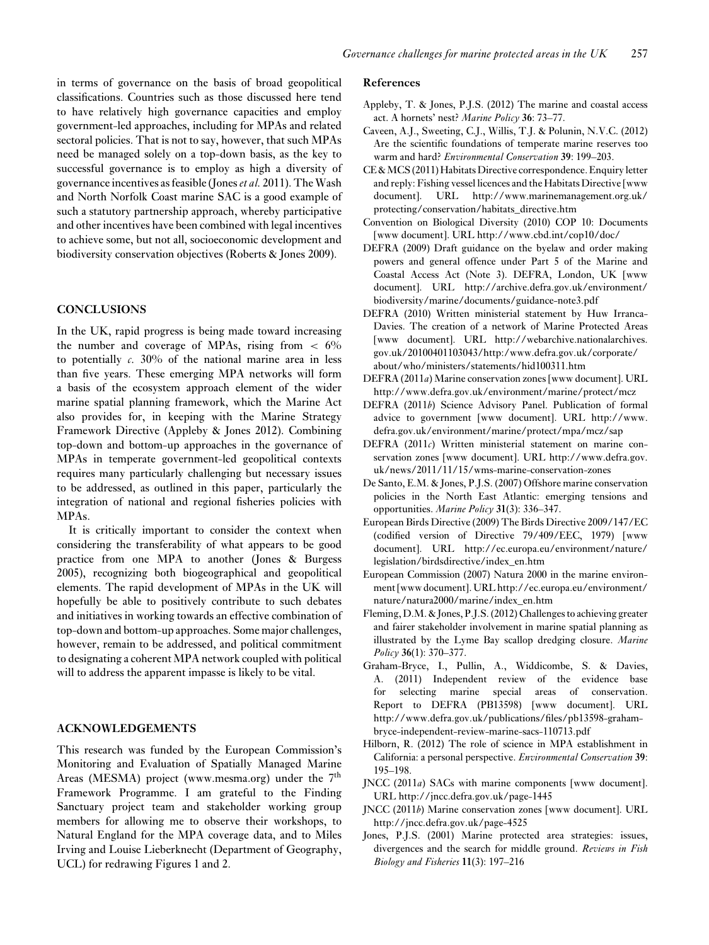in terms of governance on the basis of broad geopolitical classifications. Countries such as those discussed here tend to have relatively high governance capacities and employ government-led approaches, including for MPAs and related sectoral policies. That is not to say, however, that such MPAs need be managed solely on a top-down basis, as the key to successful governance is to employ as high a diversity of governance incentives as feasible (Jones*et al.* 2011). The Wash and North Norfolk Coast marine SAC is a good example of such a statutory partnership approach, whereby participative and other incentives have been combined with legal incentives to achieve some, but not all, socioeconomic development and biodiversity conservation objectives (Roberts & Jones 2009).

## **CONCLUSIONS**

In the UK, rapid progress is being made toward increasing the number and coverage of MPAs, rising from  $\lt$  6% to potentially *c.* 30% of the national marine area in less than five years. These emerging MPA networks will form a basis of the ecosystem approach element of the wider marine spatial planning framework, which the Marine Act also provides for, in keeping with the Marine Strategy Framework Directive (Appleby & Jones 2012). Combining top-down and bottom-up approaches in the governance of MPAs in temperate government-led geopolitical contexts requires many particularly challenging but necessary issues to be addressed, as outlined in this paper, particularly the integration of national and regional fisheries policies with MPAs.

It is critically important to consider the context when considering the transferability of what appears to be good practice from one MPA to another (Jones & Burgess 2005), recognizing both biogeographical and geopolitical elements. The rapid development of MPAs in the UK will hopefully be able to positively contribute to such debates and initiatives in working towards an effective combination of top-down and bottom-up approaches. Some major challenges, however, remain to be addressed, and political commitment to designating a coherent MPA network coupled with political will to address the apparent impasse is likely to be vital.

## **ACKNOWLEDGEMENTS**

This research was funded by the European Commission's Monitoring and Evaluation of Spatially Managed Marine Areas (MESMA) project (www.mesma.org) under the  $7<sup>th</sup>$ Framework Programme. I am grateful to the Finding Sanctuary project team and stakeholder working group members for allowing me to observe their workshops, to Natural England for the MPA coverage data, and to Miles Irving and Louise Lieberknecht (Department of Geography, UCL) for redrawing Figures 1 and 2.

#### **References**

- Appleby, T. & Jones, P.J.S. (2012) The marine and coastal access act. A hornets' nest? *Marine Policy* **36**: 73–77.
- Caveen, A.J., Sweeting, C.J., Willis, T.J. & Polunin, N.V.C. (2012) Are the scientific foundations of temperate marine reserves too warm and hard? *Environmental Conservation* **39**: 199–203.
- CE & MCS (2011) Habitats Directive correspondence. Enquiry letter and reply: Fishing vessel licences and the Habitats Directive [www document]. URL http://www.marinemanagement.org.uk/ protecting/conservation/habitats\_directive.htm
- Convention on Biological Diversity (2010) COP 10: Documents [www document]. URL http://www.cbd.int/cop10/doc/
- DEFRA (2009) Draft guidance on the byelaw and order making powers and general offence under Part 5 of the Marine and Coastal Access Act (Note 3). DEFRA, London, UK [www document]. URL http://archive.defra.gov.uk/environment/ biodiversity/marine/documents/guidance-note3.pdf
- DEFRA (2010) Written ministerial statement by Huw Irranca-Davies. The creation of a network of Marine Protected Areas [www document]. URL http://webarchive.nationalarchives. gov.uk/20100401103043/http:/www.defra.gov.uk/corporate/ about/who/ministers/statements/hid100311.htm
- DEFRA (2011*a*) Marine conservation zones [www document]. URL http://www.defra.gov.uk/environment/marine/protect/mcz
- DEFRA (2011*b*) Science Advisory Panel. Publication of formal advice to government [www document]. URL http://www. defra.gov.uk/environment/marine/protect/mpa/mcz/sap
- DEFRA (2011*c*) Written ministerial statement on marine conservation zones [www document]. URL http://www.defra.gov. uk/news/2011/11/15/wms-marine-conservation-zones
- De Santo, E.M. & Jones, P.J.S. (2007) Offshore marine conservation policies in the North East Atlantic: emerging tensions and opportunities. *Marine Policy* **31**(3): 336–347.
- European Birds Directive (2009) The Birds Directive 2009/147/EC (codified version of Directive 79/409/EEC, 1979) [www document]. URL http://ec.europa.eu/environment/nature/ legislation/birdsdirective/index\_en.htm
- European Commission (2007) Natura 2000 in the marine environment [www document]. URL http://ec.europa.eu/environment/ nature/natura2000/marine/index\_en.htm
- Fleming, D.M. & Jones, P.J.S. (2012) Challenges to achieving greater and fairer stakeholder involvement in marine spatial planning as illustrated by the Lyme Bay scallop dredging closure. *Marine Policy* **36**(1): 370–377.
- Graham-Bryce, I., Pullin, A., Widdicombe, S. & Davies, A. (2011) Independent review of the evidence base for selecting marine special areas of conservation. Report to DEFRA (PB13598) [www document]. URL http://www.defra.gov.uk/publications/files/pb13598-grahambryce-independent-review-marine-sacs-110713.pdf
- Hilborn, R. (2012) The role of science in MPA establishment in California: a personal perspective. *Environmental Conservation* **39**: 195–198.
- JNCC (2011*a*) SACs with marine components [www document]. URL http://jncc.defra.gov.uk/page-1445
- JNCC (2011*b*) Marine conservation zones [www document]. URL http://jncc.defra.gov.uk/page-4525
- Jones, P.J.S. (2001) Marine protected area strategies: issues, divergences and the search for middle ground. *Reviews in Fish Biology and Fisheries* **11**(3): 197–216